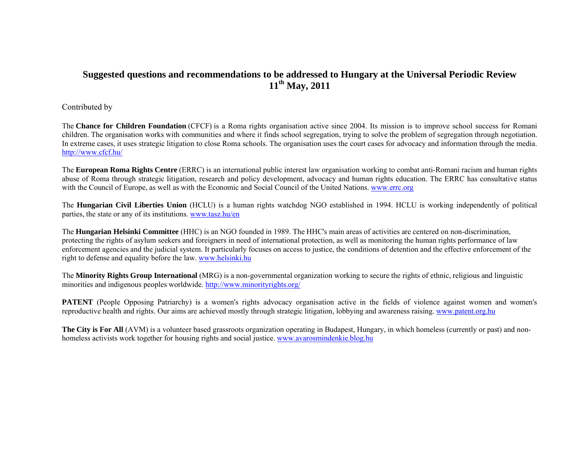#### **Suggested questions and recommendations to be addressed to Hungary at the Universal Periodic Review 11th May, 2011**

Contributed by

The **Chance for Children Foundation** (CFCF) is a Roma rights organisation active since 2004. Its mission is to improve school success for Romani children. The organisation works with communities and where it finds school segregation, trying to solve the problem of segregation through negotiation. In extreme cases, it uses strategic litigation to close Roma schools. The organisation uses the court cases for advocacy and information through the media. http://www.cfcf.hu/

The **European Roma Rights Centre** (ERRC) is an international public interest law organisation working to combat anti-Romani racism and human rights abuse of Roma through strategic litigation, research and policy development, advocacy and human rights education. The ERRC has consultative status with the Council of Europe, as well as with the Economic and Social Council of the United Nations. www.errc.org

The **Hungarian Civil Liberties Union** (HCLU) is a human rights watchdog NGO established in 1994. HCLU is working independently of political parties, the state or any of its institutions. www.tasz.hu/en

The **Hungarian Helsinki Committee** (HHC) is an NGO founded in 1989. The HHC's main areas of activities are centered on non-discrimination, protecting the rights of asylum seekers and foreigners in need of international protection, as well as monitoring the human rights performance of law enforcement agencies and the judicial system. It particularly focuses on access to justice, the conditions of detention and the effective enforcement of the right to defense and equality before the law. www.helsinki.hu

The **Minority Rights Group International** (MRG) is a non-governmental organization working to secure the rights of ethnic, religious and linguistic minorities and indigenous peoples worldwide. http://www.minorityrights.org/

**PATENT** (People Opposing Patriarchy) is a women's rights advocacy organisation active in the fields of violence against women and women's reproductive health and rights. Our aims are achieved mostly through strategic litigation, lobbying and awareness raising. www.patent.org.hu

**The City is For All** (AVM) is a volunteer based grassroots organization operating in Budapest, Hungary, in which homeless (currently or past) and nonhomeless activists work together for housing rights and social justice. www.avarosmindenkie.blog.hu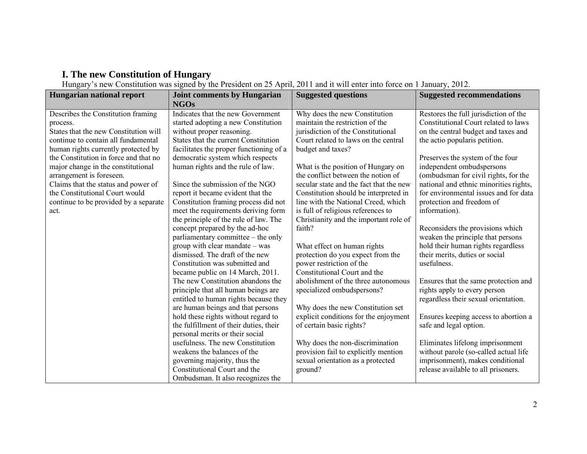### **I. The new Constitution of Hungary**

Hungary's new Constitution was signed by the President on 25 April, 2011 and it will enter into force on 1 January, 2012.

| <b>Hungarian national report</b>                                                                                                                                                                                                                                                                                                                                                                   | <b>Joint comments by Hungarian</b>                                                                                                                                                                                                                                                                                                                                                               | <b>Suggested questions</b>                                                                                                                                                                                                                                                                                                                                                 | <b>Suggested recommendations</b>                                                                                                                                                                                                                                                                                                                                               |
|----------------------------------------------------------------------------------------------------------------------------------------------------------------------------------------------------------------------------------------------------------------------------------------------------------------------------------------------------------------------------------------------------|--------------------------------------------------------------------------------------------------------------------------------------------------------------------------------------------------------------------------------------------------------------------------------------------------------------------------------------------------------------------------------------------------|----------------------------------------------------------------------------------------------------------------------------------------------------------------------------------------------------------------------------------------------------------------------------------------------------------------------------------------------------------------------------|--------------------------------------------------------------------------------------------------------------------------------------------------------------------------------------------------------------------------------------------------------------------------------------------------------------------------------------------------------------------------------|
| Describes the Constitution framing<br>process.<br>States that the new Constitution will<br>continue to contain all fundamental<br>human rights currently protected by<br>the Constitution in force and that no<br>major change in the constitutional<br>arrangement is foreseen.<br>Claims that the status and power of<br>the Constitutional Court would<br>continue to be provided by a separate | <b>NGOs</b><br>Indicates that the new Government<br>started adopting a new Constitution<br>without proper reasoning.<br>States that the current Constitution<br>facilitates the proper functioning of a<br>democratic system which respects<br>human rights and the rule of law.<br>Since the submission of the NGO<br>report it became evident that the<br>Constitution framing process did not | Why does the new Constitution<br>maintain the restriction of the<br>jurisdiction of the Constitutional<br>Court related to laws on the central<br>budget and taxes?<br>What is the position of Hungary on<br>the conflict between the notion of<br>secular state and the fact that the new<br>Constitution should be interpreted in<br>line with the National Creed, which | Restores the full jurisdiction of the<br>Constitutional Court related to laws<br>on the central budget and taxes and<br>the actio popularis petition.<br>Preserves the system of the four<br>independent ombudspersons<br>(ombudsman for civil rights, for the<br>national and ethnic minorities rights,<br>for environmental issues and for data<br>protection and freedom of |
| act.                                                                                                                                                                                                                                                                                                                                                                                               | meet the requirements deriving form<br>the principle of the rule of law. The<br>concept prepared by the ad-hoc<br>parliamentary committee – the only<br>group with clear mandate $-$ was<br>dismissed. The draft of the new<br>Constitution was submitted and<br>became public on 14 March, 2011.<br>The new Constitution abandons the<br>principle that all human beings are                    | is full of religious references to<br>Christianity and the important role of<br>faith?<br>What effect on human rights<br>protection do you expect from the<br>power restriction of the<br>Constitutional Court and the<br>abolishment of the three autonomous<br>specialized ombudspersons?                                                                                | information).<br>Reconsiders the provisions which<br>weaken the principle that persons<br>hold their human rights regardless<br>their merits, duties or social<br>usefulness.<br>Ensures that the same protection and<br>rights apply to every person<br>regardless their sexual orientation.                                                                                  |
|                                                                                                                                                                                                                                                                                                                                                                                                    | entitled to human rights because they<br>are human beings and that persons<br>hold these rights without regard to<br>the fulfillment of their duties, their<br>personal merits or their social<br>usefulness. The new Constitution<br>weakens the balances of the<br>governing majority, thus the<br>Constitutional Court and the<br>Ombudsman. It also recognizes the                           | Why does the new Constitution set<br>explicit conditions for the enjoyment<br>of certain basic rights?<br>Why does the non-discrimination<br>provision fail to explicitly mention<br>sexual orientation as a protected<br>ground?                                                                                                                                          | Ensures keeping access to abortion a<br>safe and legal option.<br>Eliminates lifelong imprisonment<br>without parole (so-called actual life<br>imprisonment), makes conditional<br>release available to all prisoners.                                                                                                                                                         |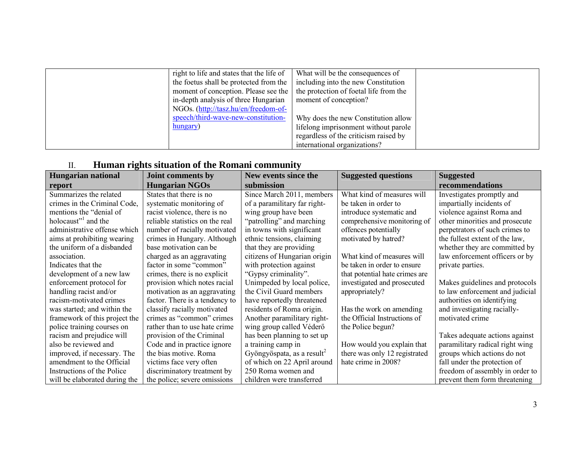| right to life and states that the life of                                     | What will be the consequences of      |  |
|-------------------------------------------------------------------------------|---------------------------------------|--|
| the foetus shall be protected from the                                        | including into the new Constitution   |  |
| moment of conception. Please see the   the protection of foetal life from the |                                       |  |
| in-depth analysis of three Hungarian                                          | moment of conception?                 |  |
| NGOs. (http://tasz.hu/en/freedom-of-                                          |                                       |  |
| speech/third-wave-new-constitution-                                           | Why does the new Constitution allow   |  |
| hungary)                                                                      | lifelong imprisonment without parole  |  |
|                                                                               | regardless of the criticism raised by |  |
|                                                                               | international organizations?          |  |

# II. **Human rights situation of the Romani community**

| <b>Hungarian national</b>       | Joint comments by               | New events since the                   | <b>Suggested questions</b>     | <b>Suggested</b>                |
|---------------------------------|---------------------------------|----------------------------------------|--------------------------------|---------------------------------|
| report                          | <b>Hungarian NGOs</b>           | submission                             |                                | recommendations                 |
| Summarizes the related          | States that there is no         | Since March 2011, members              | What kind of measures will     | Investigates promptly and       |
| crimes in the Criminal Code,    | systematic monitoring of        | of a paramilitary far right-           | be taken in order to           | impartially incidents of        |
| mentions the "denial of         | racist violence, there is no    | wing group have been                   | introduce systematic and       | violence against Roma and       |
| holocaust" <sup>1</sup> and the | reliable statistics on the real | "patrolling" and marching              | comprehensive monitoring of    | other minorities and prosecute  |
| administrative offense which    | number of racially motivated    | in towns with significant              | offences potentially           | perpetrators of such crimes to  |
| aims at prohibiting wearing     | crimes in Hungary. Although     | ethnic tensions, claiming              | motivated by hatred?           | the fullest extent of the law,  |
| the uniform of a disbanded      | base motivation can be          | that they are providing                |                                | whether they are committed by   |
| association.                    | charged as an aggravating       | citizens of Hungarian origin           | What kind of measures will     | law enforcement officers or by  |
| Indicates that the              | factor in some "common"         | with protection against                | be taken in order to ensure    | private parties.                |
| development of a new law        | crimes, there is no explicit    | "Gypsy criminality".                   | that potential hate crimes are |                                 |
| enforcement protocol for        | provision which notes racial    | Unimpeded by local police,             | investigated and prosecuted    | Makes guidelines and protocols  |
| handling racist and/or          | motivation as an aggravating    | the Civil Guard members                | appropriately?                 | to law enforcement and judicial |
| racism-motivated crimes         | factor. There is a tendency to  | have reportedly threatened             |                                | authorities on identifying      |
| was started; and within the     | classify racially motivated     | residents of Roma origin.              | Has the work on amending       | and investigating racially-     |
| framework of this project the   | crimes as "common" crimes       | Another paramilitary right-            | the Official Instructions of   | motivated crime                 |
| police training courses on      | rather than to use hate crime   | wing group called Véderő               | the Police begun?              |                                 |
| racism and prejudice will       | provision of the Criminal       | has been planning to set up            |                                | Takes adequate actions against  |
| also be reviewed and            | Code and in practice ignore     | a training camp in                     | How would you explain that     | paramilitary radical right wing |
| improved, if necessary. The     | the bias motive. Roma           | Gyöngyöspata, as a result <sup>2</sup> | there was only 12 registrated  | groups which actions do not     |
| amendment to the Official       | victims face very often         | of which on 22 April around            | hate crime in 2008?            | fall under the protection of    |
| Instructions of the Police      | discriminatory treatment by     | 250 Roma women and                     |                                | freedom of assembly in order to |
| will be elaborated during the   | the police; severe omissions    | children were transferred              |                                | prevent them form threatening   |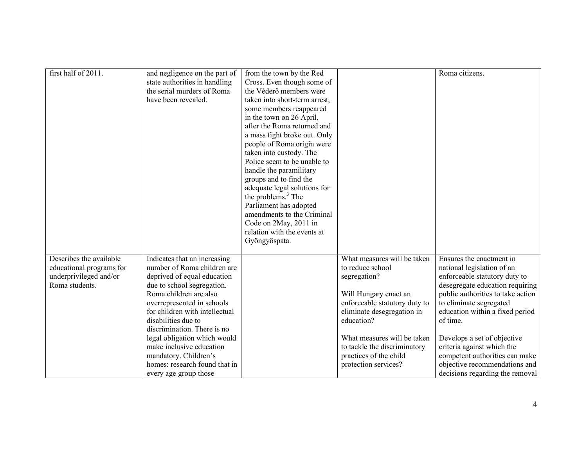| first half of 2011.      | and negligence on the part of<br>state authorities in handling<br>the serial murders of Roma<br>have been revealed. | from the town by the Red<br>Cross. Even though some of<br>the Véderő members were<br>taken into short-term arrest,<br>some members reappeared<br>in the town on 26 April,<br>after the Roma returned and<br>a mass fight broke out. Only<br>people of Roma origin were<br>taken into custody. The<br>Police seem to be unable to<br>handle the paramilitary<br>groups and to find the<br>adequate legal solutions for<br>the problems. $3$ The<br>Parliament has adopted<br>amendments to the Criminal<br>Code on 2May, 2011 in<br>relation with the events at<br>Gyöngyöspata. |                               | Roma citizens.                    |
|--------------------------|---------------------------------------------------------------------------------------------------------------------|---------------------------------------------------------------------------------------------------------------------------------------------------------------------------------------------------------------------------------------------------------------------------------------------------------------------------------------------------------------------------------------------------------------------------------------------------------------------------------------------------------------------------------------------------------------------------------|-------------------------------|-----------------------------------|
| Describes the available  | Indicates that an increasing                                                                                        |                                                                                                                                                                                                                                                                                                                                                                                                                                                                                                                                                                                 | What measures will be taken   | Ensures the enactment in          |
| educational programs for | number of Roma children are                                                                                         |                                                                                                                                                                                                                                                                                                                                                                                                                                                                                                                                                                                 | to reduce school              | national legislation of an        |
| underprivileged and/or   | deprived of equal education                                                                                         |                                                                                                                                                                                                                                                                                                                                                                                                                                                                                                                                                                                 | segregation?                  | enforceable statutory duty to     |
| Roma students.           | due to school segregation.                                                                                          |                                                                                                                                                                                                                                                                                                                                                                                                                                                                                                                                                                                 |                               | desegregate education requiring   |
|                          | Roma children are also                                                                                              |                                                                                                                                                                                                                                                                                                                                                                                                                                                                                                                                                                                 | Will Hungary enact an         | public authorities to take action |
|                          | overrepresented in schools                                                                                          |                                                                                                                                                                                                                                                                                                                                                                                                                                                                                                                                                                                 | enforceable statutory duty to | to eliminate segregated           |
|                          | for children with intellectual                                                                                      |                                                                                                                                                                                                                                                                                                                                                                                                                                                                                                                                                                                 | eliminate desegregation in    | education within a fixed period   |
|                          | disabilities due to                                                                                                 |                                                                                                                                                                                                                                                                                                                                                                                                                                                                                                                                                                                 | education?                    | of time.                          |
|                          | discrimination. There is no                                                                                         |                                                                                                                                                                                                                                                                                                                                                                                                                                                                                                                                                                                 |                               |                                   |
|                          | legal obligation which would                                                                                        |                                                                                                                                                                                                                                                                                                                                                                                                                                                                                                                                                                                 | What measures will be taken   | Develops a set of objective       |
|                          | make inclusive education                                                                                            |                                                                                                                                                                                                                                                                                                                                                                                                                                                                                                                                                                                 | to tackle the discriminatory  | criteria against which the        |
|                          | mandatory. Children's<br>homes: research found that in                                                              |                                                                                                                                                                                                                                                                                                                                                                                                                                                                                                                                                                                 | practices of the child        | competent authorities can make    |
|                          |                                                                                                                     |                                                                                                                                                                                                                                                                                                                                                                                                                                                                                                                                                                                 | protection services?          | objective recommendations and     |
|                          | every age group those                                                                                               |                                                                                                                                                                                                                                                                                                                                                                                                                                                                                                                                                                                 |                               | decisions regarding the removal   |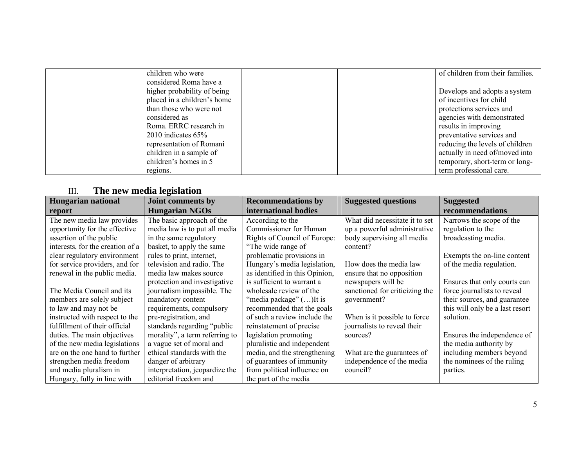| children who were           | of children from their families. |
|-----------------------------|----------------------------------|
| considered Roma have a      |                                  |
| higher probability of being | Develops and adopts a system     |
| placed in a children's home | of incentives for child          |
| than those who were not     | protections services and         |
| considered as               | agencies with demonstrated       |
| Roma. ERRC research in      | results in improving             |
| $2010$ indicates 65%        | preventative services and        |
| representation of Romani    | reducing the levels of children  |
| children in a sample of     | actually in need of/moved into   |
| children's homes in 5       | temporary, short-term or long-   |
| regions.                    | term professional care.          |

## III. **The new media legislation**

| <b>Hungarian national</b>        | Joint comments by              | <b>Recommendations by</b>      | <b>Suggested questions</b>     | <b>Suggested</b>                |
|----------------------------------|--------------------------------|--------------------------------|--------------------------------|---------------------------------|
| report                           | <b>Hungarian NGOs</b>          | international bodies           |                                | recommendations                 |
| The new media law provides       | The basic approach of the      | According to the               | What did necessitate it to set | Narrows the scope of the        |
| opportunity for the effective    | media law is to put all media  | Commissioner for Human         | up a powerful administrative   | regulation to the               |
| assertion of the public          | in the same regulatory         | Rights of Council of Europe:   | body supervising all media     | broadcasting media.             |
| interests, for the creation of a | basket, to apply the same      | "The wide range of             | content?                       |                                 |
| clear regulatory environment     | rules to print, internet,      | problematic provisions in      |                                | Exempts the on-line content     |
| for service providers, and for   | television and radio. The      | Hungary's media legislation,   | How does the media law         | of the media regulation.        |
| renewal in the public media.     | media law makes source         | as identified in this Opinion, | ensure that no opposition      |                                 |
|                                  | protection and investigative   | is sufficient to warrant a     | newspapers will be             | Ensures that only courts can    |
| The Media Council and its        | journalism impossible. The     | wholesale review of the        | sanctioned for criticizing the | force journalists to reveal     |
| members are solely subject       | mandatory content              | "media package" () It is       | government?                    | their sources, and guarantee    |
| to law and may not be            | requirements, compulsory       | recommended that the goals     |                                | this will only be a last resort |
| instructed with respect to the   | pre-registration, and          | of such a review include the   | When is it possible to force   | solution.                       |
| fulfillment of their official    | standards regarding "public"   | reinstatement of precise       | journalists to reveal their    |                                 |
| duties. The main objectives      | morality", a term referring to | legislation promoting          | sources?                       | Ensures the independence of     |
| of the new media legislations    | a vague set of moral and       | pluralistic and independent    |                                | the media authority by          |
| are on the one hand to further   | ethical standards with the     | media, and the strengthening   | What are the guarantees of     | including members beyond        |
| strengthen media freedom         | danger of arbitrary            | of guarantees of immunity      | independence of the media      | the nominees of the ruling      |
| and media pluralism in           | interpretation, jeopardize the | from political influence on    | council?                       | parties.                        |
| Hungary, fully in line with      | editorial freedom and          | the part of the media          |                                |                                 |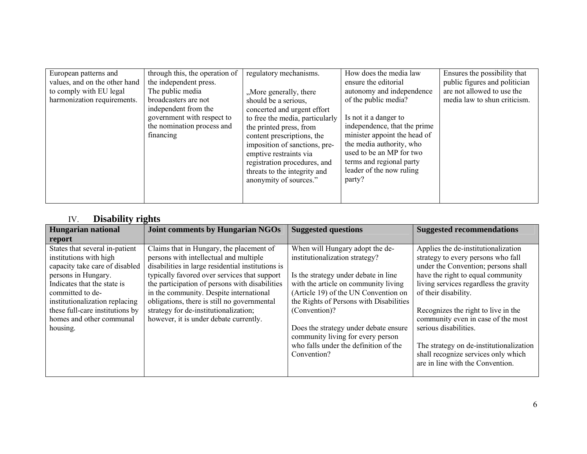| European patterns and<br>values, and on the other hand<br>to comply with EU legal<br>harmonization requirements. | through this, the operation of<br>the independent press.<br>The public media<br>broadcasters are not<br>independent from the<br>government with respect to<br>the nomination process and<br>financing | regulatory mechanisms.<br>"More generally, there<br>should be a serious,<br>concerted and urgent effort<br>to free the media, particularly<br>the printed press, from<br>content prescriptions, the<br>imposition of sanctions, pre-<br>emptive restraints via<br>registration procedures, and<br>threats to the integrity and<br>anonymity of sources." | How does the media law<br>ensure the editorial<br>autonomy and independence<br>of the public media?<br>Is not it a danger to<br>independence, that the prime<br>minister appoint the head of<br>the media authority, who<br>used to be an MP for two<br>terms and regional party<br>leader of the now ruling<br>party? | Ensures the possibility that<br>public figures and politician<br>are not allowed to use the<br>media law to shun criticism. |
|------------------------------------------------------------------------------------------------------------------|-------------------------------------------------------------------------------------------------------------------------------------------------------------------------------------------------------|----------------------------------------------------------------------------------------------------------------------------------------------------------------------------------------------------------------------------------------------------------------------------------------------------------------------------------------------------------|------------------------------------------------------------------------------------------------------------------------------------------------------------------------------------------------------------------------------------------------------------------------------------------------------------------------|-----------------------------------------------------------------------------------------------------------------------------|
|------------------------------------------------------------------------------------------------------------------|-------------------------------------------------------------------------------------------------------------------------------------------------------------------------------------------------------|----------------------------------------------------------------------------------------------------------------------------------------------------------------------------------------------------------------------------------------------------------------------------------------------------------------------------------------------------------|------------------------------------------------------------------------------------------------------------------------------------------------------------------------------------------------------------------------------------------------------------------------------------------------------------------------|-----------------------------------------------------------------------------------------------------------------------------|

## IV. **Disability rights**

| <b>Hungarian national</b>       | <b>Joint comments by Hungarian NGOs</b>           | <b>Suggested questions</b>              | <b>Suggested recommendations</b>        |
|---------------------------------|---------------------------------------------------|-----------------------------------------|-----------------------------------------|
| report                          |                                                   |                                         |                                         |
| States that several in-patient  | Claims that in Hungary, the placement of          | When will Hungary adopt the de-         | Applies the de-institutionalization     |
| institutions with high          | persons with intellectual and multiple            | institutionalization strategy?          | strategy to every persons who fall      |
| capacity take care of disabled  | disabilities in large residential institutions is |                                         | under the Convention; persons shall     |
| persons in Hungary.             | typically favored over services that support      | Is the strategy under debate in line    | have the right to equal community       |
| Indicates that the state is     | the participation of persons with disabilities    | with the article on community living    | living services regardless the gravity  |
| committed to de-                | in the community. Despite international           | (Article 19) of the UN Convention on    | of their disability.                    |
| institutionalization replacing  | obligations, there is still no governmental       | the Rights of Persons with Disabilities |                                         |
| these full-care institutions by | strategy for de-institutionalization;             | (Convention)?                           | Recognizes the right to live in the     |
| homes and other communal        | however, it is under debate currently.            |                                         | community even in case of the most      |
| housing.                        |                                                   | Does the strategy under debate ensure   | serious disabilities.                   |
|                                 |                                                   | community living for every person       |                                         |
|                                 |                                                   | who falls under the definition of the   | The strategy on de-institutionalization |
|                                 |                                                   | Convention?                             | shall recognize services only which     |
|                                 |                                                   |                                         | are in line with the Convention.        |
|                                 |                                                   |                                         |                                         |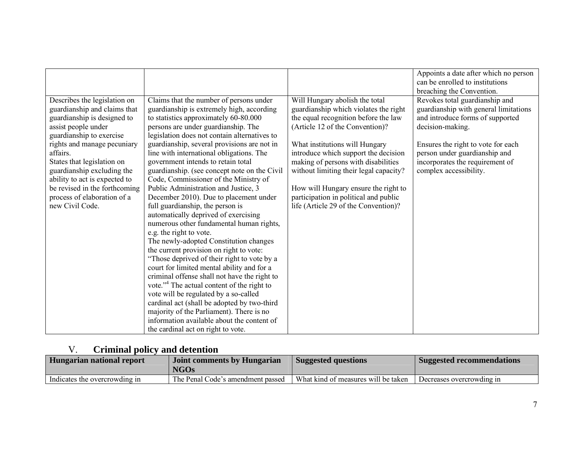|                                                                                                                                                                                                                                                                                                                                                                           |                                                                                                                                                                                                                                                                                                                                                                                                                                                                                                                                                                                                                                                                                                                                                                                                                                                                                                                                                                                                                                                                                                                                                                                                         |                                                                                                                                                                                                                                                                                                                                                                                                                                        | Appoints a date after which no person<br>can be enrolled to institutions<br>breaching the Convention.                                                                                                                                                               |
|---------------------------------------------------------------------------------------------------------------------------------------------------------------------------------------------------------------------------------------------------------------------------------------------------------------------------------------------------------------------------|---------------------------------------------------------------------------------------------------------------------------------------------------------------------------------------------------------------------------------------------------------------------------------------------------------------------------------------------------------------------------------------------------------------------------------------------------------------------------------------------------------------------------------------------------------------------------------------------------------------------------------------------------------------------------------------------------------------------------------------------------------------------------------------------------------------------------------------------------------------------------------------------------------------------------------------------------------------------------------------------------------------------------------------------------------------------------------------------------------------------------------------------------------------------------------------------------------|----------------------------------------------------------------------------------------------------------------------------------------------------------------------------------------------------------------------------------------------------------------------------------------------------------------------------------------------------------------------------------------------------------------------------------------|---------------------------------------------------------------------------------------------------------------------------------------------------------------------------------------------------------------------------------------------------------------------|
| Describes the legislation on<br>guardianship and claims that<br>guardianship is designed to<br>assist people under<br>guardianship to exercise<br>rights and manage pecuniary<br>affairs.<br>States that legislation on<br>guardianship excluding the<br>ability to act is expected to<br>be revised in the forthcoming<br>process of elaboration of a<br>new Civil Code. | Claims that the number of persons under<br>guardianship is extremely high, according<br>to statistics approximately 60-80.000<br>persons are under guardianship. The<br>legislation does not contain alternatives to<br>guardianship, several provisions are not in<br>line with international obligations. The<br>government intends to retain total<br>guardianship. (see concept note on the Civil<br>Code, Commissioner of the Ministry of<br>Public Administration and Justice, 3<br>December 2010). Due to placement under<br>full guardianship, the person is<br>automatically deprived of exercising<br>numerous other fundamental human rights,<br>e.g. the right to vote.<br>The newly-adopted Constitution changes<br>the current provision on right to vote:<br>"Those deprived of their right to vote by a<br>court for limited mental ability and for a<br>criminal offense shall not have the right to<br>vote." <sup>4</sup> The actual content of the right to<br>vote will be regulated by a so-called<br>cardinal act (shall be adopted by two-third<br>majority of the Parliament). There is no<br>information available about the content of<br>the cardinal act on right to vote. | Will Hungary abolish the total<br>guardianship which violates the right<br>the equal recognition before the law<br>(Article 12 of the Convention)?<br>What institutions will Hungary<br>introduce which support the decision<br>making of persons with disabilities<br>without limiting their legal capacity?<br>How will Hungary ensure the right to<br>participation in political and public<br>life (Article 29 of the Convention)? | Revokes total guardianship and<br>guardianship with general limitations<br>and introduce forms of supported<br>decision-making.<br>Ensures the right to vote for each<br>person under guardianship and<br>incorporates the requirement of<br>complex accessibility. |

## V. **Criminal policy and detention**

| Hungarian national report     | <b>Joint comments by Hungarian</b><br><b>NGOs</b> | <b>Suggested questions</b>          | <b>Suggested recommendations</b> |
|-------------------------------|---------------------------------------------------|-------------------------------------|----------------------------------|
| Indicates the overcrowding in | The Penal Code's amendment passed                 | What kind of measures will be taken | Decreases overcrowding in        |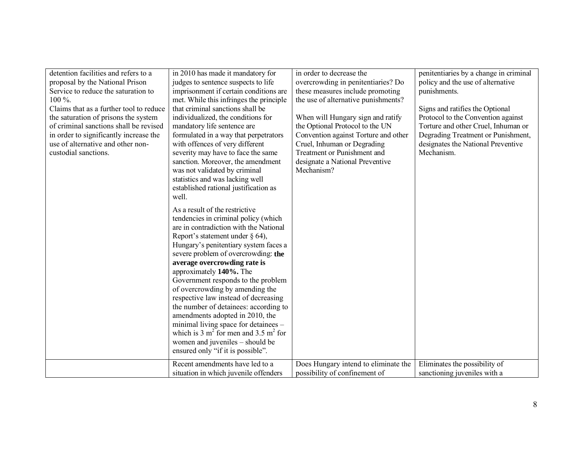| detention facilities and refers to a<br>proposal by the National Prison<br>Service to reduce the saturation to<br>100 %.<br>Claims that as a further tool to reduce<br>the saturation of prisons the system<br>of criminal sanctions shall be revised<br>in order to significantly increase the<br>use of alternative and other non-<br>custodial sanctions. | in 2010 has made it mandatory for<br>judges to sentence suspects to life<br>imprisonment if certain conditions are<br>met. While this infringes the principle<br>that criminal sanctions shall be<br>individualized, the conditions for<br>mandatory life sentence are<br>formulated in a way that perpetrators<br>with offences of very different<br>severity may have to face the same<br>sanction. Moreover, the amendment<br>was not validated by criminal<br>statistics and was lacking well<br>established rational justification as<br>well.<br>As a result of the restrictive<br>tendencies in criminal policy (which<br>are in contradiction with the National<br>Report's statement under $\S$ 64),<br>Hungary's penitentiary system faces a<br>severe problem of overcrowding: the<br>average overcrowding rate is<br>approximately 140%. The<br>Government responds to the problem<br>of overcrowding by amending the<br>respective law instead of decreasing<br>the number of detainees: according to<br>amendments adopted in 2010, the<br>minimal living space for detainees -<br>which is 3 m <sup>2</sup> for men and 3.5 m <sup>2</sup> for<br>women and juveniles – should be<br>ensured only "if it is possible".<br>Recent amendments have led to a | in order to decrease the<br>overcrowding in penitentiaries? Do<br>these measures include promoting<br>the use of alternative punishments?<br>When will Hungary sign and ratify<br>the Optional Protocol to the UN<br>Convention against Torture and other<br>Cruel, Inhuman or Degrading<br>Treatment or Punishment and<br>designate a National Preventive<br>Mechanism? | penitentiaries by a change in criminal<br>policy and the use of alternative<br>punishments.<br>Signs and ratifies the Optional<br>Protocol to the Convention against<br>Torture and other Cruel, Inhuman or<br>Degrading Treatment or Punishment,<br>designates the National Preventive<br>Mechanism. |
|--------------------------------------------------------------------------------------------------------------------------------------------------------------------------------------------------------------------------------------------------------------------------------------------------------------------------------------------------------------|--------------------------------------------------------------------------------------------------------------------------------------------------------------------------------------------------------------------------------------------------------------------------------------------------------------------------------------------------------------------------------------------------------------------------------------------------------------------------------------------------------------------------------------------------------------------------------------------------------------------------------------------------------------------------------------------------------------------------------------------------------------------------------------------------------------------------------------------------------------------------------------------------------------------------------------------------------------------------------------------------------------------------------------------------------------------------------------------------------------------------------------------------------------------------------------------------------------------------------------------------------------------------|--------------------------------------------------------------------------------------------------------------------------------------------------------------------------------------------------------------------------------------------------------------------------------------------------------------------------------------------------------------------------|-------------------------------------------------------------------------------------------------------------------------------------------------------------------------------------------------------------------------------------------------------------------------------------------------------|
|                                                                                                                                                                                                                                                                                                                                                              | situation in which juvenile offenders                                                                                                                                                                                                                                                                                                                                                                                                                                                                                                                                                                                                                                                                                                                                                                                                                                                                                                                                                                                                                                                                                                                                                                                                                                    | Does Hungary intend to eliminate the<br>possibility of confinement of                                                                                                                                                                                                                                                                                                    | Eliminates the possibility of<br>sanctioning juveniles with a                                                                                                                                                                                                                                         |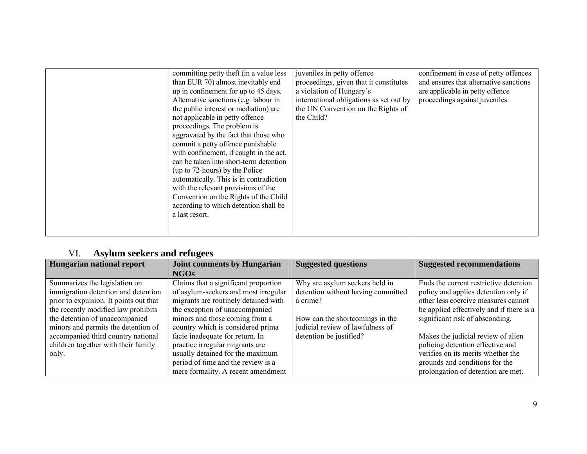| committing petty theft (in a value less<br>than EUR 70) almost inevitably end<br>up in confinement for up to 45 days.<br>Alternative sanctions (e.g. labour in<br>the public interest or mediation) are<br>not applicable in petty offence<br>proceedings. The problem is<br>aggravated by the fact that those who<br>commit a petty offence punishable<br>with confinement, if caught in the act,<br>can be taken into short-term detention<br>(up to 72-hours) by the Police<br>automatically. This is in contradiction<br>with the relevant provisions of the<br>Convention on the Rights of the Child<br>according to which detention shall be<br>a last resort. | juveniles in petty offence<br>proceedings, given that it constitutes<br>a violation of Hungary's<br>international obligations as set out by<br>the UN Convention on the Rights of<br>the Child? | confinement in case of petty offences<br>and ensures that alternative sanctions<br>are applicable in petty offence<br>proceedings against juveniles. |
|----------------------------------------------------------------------------------------------------------------------------------------------------------------------------------------------------------------------------------------------------------------------------------------------------------------------------------------------------------------------------------------------------------------------------------------------------------------------------------------------------------------------------------------------------------------------------------------------------------------------------------------------------------------------|-------------------------------------------------------------------------------------------------------------------------------------------------------------------------------------------------|------------------------------------------------------------------------------------------------------------------------------------------------------|
|----------------------------------------------------------------------------------------------------------------------------------------------------------------------------------------------------------------------------------------------------------------------------------------------------------------------------------------------------------------------------------------------------------------------------------------------------------------------------------------------------------------------------------------------------------------------------------------------------------------------------------------------------------------------|-------------------------------------------------------------------------------------------------------------------------------------------------------------------------------------------------|------------------------------------------------------------------------------------------------------------------------------------------------------|

## VI. **Asylum seekers and refugees**

| Hungarian national report              | <b>Joint comments by Hungarian</b>   | <b>Suggested questions</b>         | <b>Suggested recommendations</b>         |
|----------------------------------------|--------------------------------------|------------------------------------|------------------------------------------|
|                                        | <b>NGOs</b>                          |                                    |                                          |
| Summarizes the legislation on          | Claims that a significant proportion | Why are asylum seekers held in     | Ends the current restrictive detention   |
| immigration detention and detention    | of asylum-seekers and most irregular | detention without having committed | policy and applies detention only if     |
| prior to expulsion. It points out that | migrants are routinely detained with | a crime?                           | other less coercive measures cannot      |
| the recently modified law prohibits    | the exception of unaccompanied       |                                    | be applied effectively and if there is a |
| the detention of unaccompanied         | minors and those coming from a       | How can the shortcomings in the    | significant risk of absconding.          |
| minors and permits the detention of    | country which is considered prima    | judicial review of lawfulness of   |                                          |
| accompanied third country national     | facie inadequate for return. In      | detention be justified?            | Makes the judicial review of alien       |
| children together with their family    | practice irregular migrants are      |                                    | policing detention effective and         |
| only.                                  | usually detained for the maximum     |                                    | verifies on its merits whether the       |
|                                        | period of time and the review is a   |                                    | grounds and conditions for the           |
|                                        | mere formality. A recent amendment   |                                    | prolongation of detention are met.       |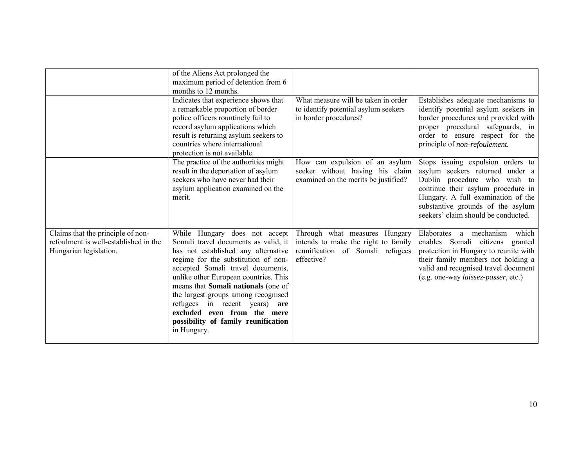|                                                                                                      | of the Aliens Act prolonged the<br>maximum period of detention from 6<br>months to 12 months.                                                                                                                                                                                                                                                                                                                                            |                                                                                                                        |                                                                                                                                                                                                                                                              |
|------------------------------------------------------------------------------------------------------|------------------------------------------------------------------------------------------------------------------------------------------------------------------------------------------------------------------------------------------------------------------------------------------------------------------------------------------------------------------------------------------------------------------------------------------|------------------------------------------------------------------------------------------------------------------------|--------------------------------------------------------------------------------------------------------------------------------------------------------------------------------------------------------------------------------------------------------------|
|                                                                                                      | Indicates that experience shows that<br>a remarkable proportion of border<br>police officers rountinely fail to<br>record asylum applications which<br>result is returning asylum seekers to<br>countries where international<br>protection is not available.                                                                                                                                                                            | What measure will be taken in order<br>to identify potential asylum seekers<br>in border procedures?                   | Establishes adequate mechanisms to<br>identify potential asylum seekers in<br>border procedures and provided with<br>proper procedural safeguards, in<br>order to ensure respect for the<br>principle of <i>non-refoulement</i> .                            |
|                                                                                                      | The practice of the authorities might<br>result in the deportation of asylum<br>seekers who have never had their<br>asylum application examined on the<br>merit.                                                                                                                                                                                                                                                                         | How can expulsion of an asylum<br>seeker without having his claim<br>examined on the merits be justified?              | Stops issuing expulsion orders to<br>asylum seekers returned under a<br>Dublin procedure who wish to<br>continue their asylum procedure in<br>Hungary. A full examination of the<br>substantive grounds of the asylum<br>seekers' claim should be conducted. |
| Claims that the principle of non-<br>refoulment is well-established in the<br>Hungarian legislation. | While Hungary does not accept<br>Somali travel documents as valid, it<br>has not established any alternative<br>regime for the substitution of non-<br>accepted Somali travel documents,<br>unlike other European countries. This<br>means that Somali nationals (one of<br>the largest groups among recognised<br>refugees in recent years)<br>are<br>excluded even from the mere<br>possibility of family reunification<br>in Hungary. | Through what measures Hungary<br>intends to make the right to family<br>reunification of Somali refugees<br>effective? | a mechanism<br>which<br>Elaborates<br>enables Somali citizens<br>granted<br>protection in Hungary to reunite with<br>their family members not holding a<br>valid and recognised travel document<br>(e.g. one-way laissez-passer, etc.)                       |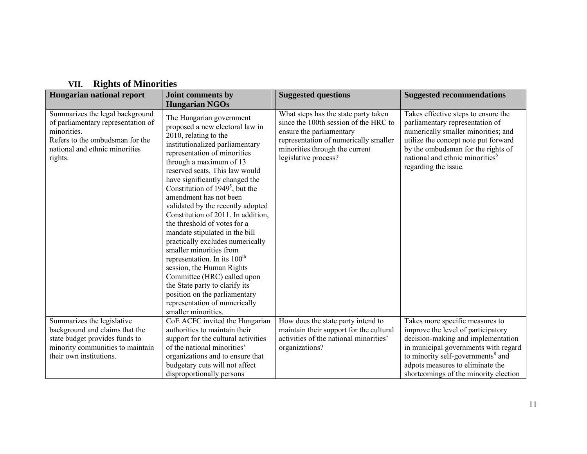| <b>AMERICO OF IVERROLL</b>                                                                                                                                           |                                                                                                                                                                                                                                                                                                                                                                                                                                                                                                                                                                                                                                                                                                                                                |                                                                                                                                                                                                              |                                                                                                                                                                                                                                                                    |  |
|----------------------------------------------------------------------------------------------------------------------------------------------------------------------|------------------------------------------------------------------------------------------------------------------------------------------------------------------------------------------------------------------------------------------------------------------------------------------------------------------------------------------------------------------------------------------------------------------------------------------------------------------------------------------------------------------------------------------------------------------------------------------------------------------------------------------------------------------------------------------------------------------------------------------------|--------------------------------------------------------------------------------------------------------------------------------------------------------------------------------------------------------------|--------------------------------------------------------------------------------------------------------------------------------------------------------------------------------------------------------------------------------------------------------------------|--|
| Hungarian national report                                                                                                                                            | Joint comments by                                                                                                                                                                                                                                                                                                                                                                                                                                                                                                                                                                                                                                                                                                                              | <b>Suggested questions</b>                                                                                                                                                                                   | <b>Suggested recommendations</b>                                                                                                                                                                                                                                   |  |
|                                                                                                                                                                      | <b>Hungarian NGOs</b>                                                                                                                                                                                                                                                                                                                                                                                                                                                                                                                                                                                                                                                                                                                          |                                                                                                                                                                                                              |                                                                                                                                                                                                                                                                    |  |
| Summarizes the legal background<br>of parliamentary representation of<br>minorities.<br>Refers to the ombudsman for the<br>national and ethnic minorities<br>rights. | The Hungarian government<br>proposed a new electoral law in<br>2010, relating to the<br>institutionalized parliamentary<br>representation of minorities<br>through a maximum of 13<br>reserved seats. This law would<br>have significantly changed the<br>Constitution of $1949^5$ , but the<br>amendment has not been<br>validated by the recently adopted<br>Constitution of 2011. In addition,<br>the threshold of votes for a<br>mandate stipulated in the bill<br>practically excludes numerically<br>smaller minorities from<br>representation. In its 100 <sup>th</sup><br>session, the Human Rights<br>Committee (HRC) called upon<br>the State party to clarify its<br>position on the parliamentary<br>representation of numerically | What steps has the state party taken<br>since the 100th session of the HRC to<br>ensure the parliamentary<br>representation of numerically smaller<br>minorities through the current<br>legislative process? | Takes effective steps to ensure the<br>parliamentary representation of<br>numerically smaller minorities; and<br>utilize the concept note put forward<br>by the ombudsman for the rights of<br>national and ethnic minorities <sup>6</sup><br>regarding the issue. |  |
|                                                                                                                                                                      | smaller minorities.                                                                                                                                                                                                                                                                                                                                                                                                                                                                                                                                                                                                                                                                                                                            |                                                                                                                                                                                                              |                                                                                                                                                                                                                                                                    |  |
| Summarizes the legislative<br>background and claims that the<br>state budget provides funds to<br>minority communities to maintain<br>their own institutions.        | CoE ACFC invited the Hungarian<br>authorities to maintain their<br>support for the cultural activities<br>of the national minorities'<br>organizations and to ensure that<br>budgetary cuts will not affect                                                                                                                                                                                                                                                                                                                                                                                                                                                                                                                                    | How does the state party intend to<br>maintain their support for the cultural<br>activities of the national minorities'<br>organizations?                                                                    | Takes more specific measures to<br>improve the level of participatory<br>decision-making and implementation<br>in municipal governments with regard<br>to minority self-governments <sup>8</sup> and<br>adpots measures to eliminate the                           |  |
|                                                                                                                                                                      | disproportionally persons                                                                                                                                                                                                                                                                                                                                                                                                                                                                                                                                                                                                                                                                                                                      |                                                                                                                                                                                                              | shortcomings of the minority election                                                                                                                                                                                                                              |  |

## **VII. Rights of Minorities**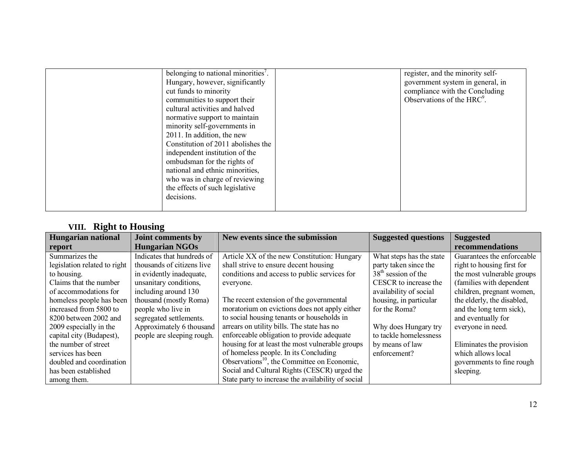|  | belonging to national minorities'.<br>Hungary, however, significantly<br>cut funds to minority<br>communities to support their<br>cultural activities and halved<br>normative support to maintain<br>minority self-governments in<br>2011. In addition, the new<br>Constitution of 2011 abolishes the<br>independent institution of the<br>ombudsman for the rights of<br>national and ethnic minorities,<br>who was in charge of reviewing<br>the effects of such legislative<br>decisions. |  | register, and the minority self-<br>government system in general, in<br>compliance with the Concluding<br>Observations of the HRC <sup>9</sup> . |
|--|----------------------------------------------------------------------------------------------------------------------------------------------------------------------------------------------------------------------------------------------------------------------------------------------------------------------------------------------------------------------------------------------------------------------------------------------------------------------------------------------|--|--------------------------------------------------------------------------------------------------------------------------------------------------|
|--|----------------------------------------------------------------------------------------------------------------------------------------------------------------------------------------------------------------------------------------------------------------------------------------------------------------------------------------------------------------------------------------------------------------------------------------------------------------------------------------------|--|--------------------------------------------------------------------------------------------------------------------------------------------------|

## **VIII. Right to Housing**

| <b>Hungarian national</b>    | Joint comments by          | New events since the submission                         | <b>Suggested questions</b> | <b>Suggested</b>           |
|------------------------------|----------------------------|---------------------------------------------------------|----------------------------|----------------------------|
| report                       | <b>Hungarian NGOs</b>      |                                                         |                            | recommendations            |
| Summarizes the               | Indicates that hundreds of | Article XX of the new Constitution: Hungary             | What steps has the state   | Guarantees the enforceable |
| legislation related to right | thousands of citizens live | shall strive to ensure decent housing                   | party taken since the      | right to housing first for |
| to housing.                  | in evidently inadequate,   | conditions and access to public services for            | $38th$ session of the      | the most vulnerable groups |
| Claims that the number       | unsanitary conditions,     | everyone.                                               | CESCR to increase the      | (families with dependent)  |
| of accommodations for        | including around 130       |                                                         | availability of social     | children, pregnant women,  |
| homeless people has been     | thousand (mostly Roma)     | The recent extension of the governmental                | housing, in particular     | the elderly, the disabled, |
| increased from 5800 to       | people who live in         | moratorium on evictions does not apply either           | for the Roma?              | and the long term sick),   |
| 8200 between 2002 and        | segregated settlements.    | to social housing tenants or households in              |                            | and eventually for         |
| 2009 especially in the       | Approximately 6 thousand   | arrears on utility bills. The state has no              | Why does Hungary try       | everyone in need.          |
| capital city (Budapest),     | people are sleeping rough. | enforceable obligation to provide adequate              | to tackle homelessness     |                            |
| the number of street         |                            | housing for at least the most vulnerable groups         | by means of law            | Eliminates the provision   |
| services has been            |                            | of homeless people. In its Concluding                   | enforcement?               | which allows local         |
| doubled and coordination     |                            | Observations <sup>10</sup> , the Committee on Economic, |                            | governments to fine rough  |
| has been established         |                            | Social and Cultural Rights (CESCR) urged the            |                            | sleeping.                  |
| among them.                  |                            | State party to increase the availability of social      |                            |                            |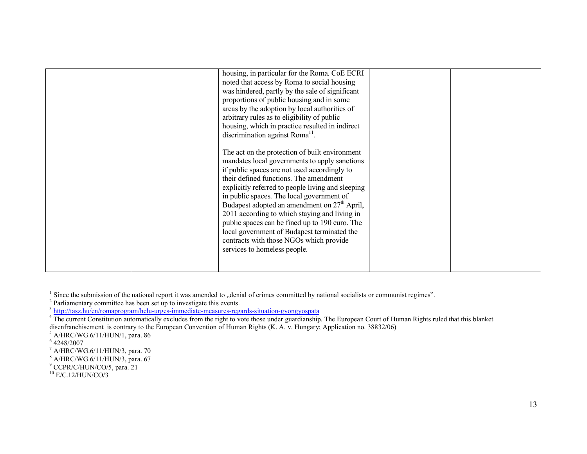|  | housing, in particular for the Roma. CoE ECRI<br>noted that access by Roma to social housing<br>was hindered, partly by the sale of significant<br>proportions of public housing and in some<br>areas by the adoption by local authorities of<br>arbitrary rules as to eligibility of public<br>housing, which in practice resulted in indirect<br>discrimination against Roma $^{11}$ .                                                                                                                                                                                   |  |
|--|----------------------------------------------------------------------------------------------------------------------------------------------------------------------------------------------------------------------------------------------------------------------------------------------------------------------------------------------------------------------------------------------------------------------------------------------------------------------------------------------------------------------------------------------------------------------------|--|
|  | The act on the protection of built environment<br>mandates local governments to apply sanctions<br>if public spaces are not used accordingly to<br>their defined functions. The amendment<br>explicitly referred to people living and sleeping<br>in public spaces. The local government of<br>Budapest adopted an amendment on $27th$ April,<br>2011 according to which staying and living in<br>public spaces can be fined up to 190 euro. The<br>local government of Budapest terminated the<br>contracts with those NGOs which provide<br>services to homeless people. |  |
|  |                                                                                                                                                                                                                                                                                                                                                                                                                                                                                                                                                                            |  |

 $<sup>1</sup>$  Since the submission of the national report it was amended to "denial of crimes committed by national socialists or communist regimes".</sup>

-

 $2^2$  Parliamentary committee has been set up to investigate this events.

<sup>&</sup>lt;sup>3</sup> http://tasz.hu/en/romaprogram/hclu-urges-immediate-measures-regards-situation-gyongyospata

 $4\overline{}$  The current Constitution automatically excludes from the right to vote those under guardianship. The European Court of Human Rights ruled that this blanket disenfranchisement is contrary to the European Convention of Human Rights (K. A. v. Hungary; Application no. 38832/06)

 $<sup>5</sup>$  A/HRC/WG.6/11/HUN/1, para. 86</sup>

 $64248/2007$ 

 $^7$  A/HRC/WG.6/11/HUN/3, para. 70

<sup>8</sup> A/HRC/WG.6/11/HUN/3, para. 67

<sup>9</sup> CCPR/C/HUN/CO/5, para. 21

 $10$  E/C.12/HUN/CO/3